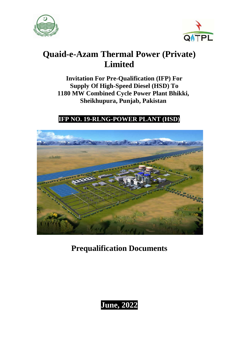



# **Quaid-e-Azam Thermal Power (Private) Limited**

**Invitation For Pre-Qualification (IFP) For Supply Of High-Speed Diesel (HSD) To 1180 MW Combined Cycle Power Plant Bhikki, Sheikhupura, Punjab, Pakistan**

## **IFP NO. 19-RLNG-POWER PLANT (HSD)**



**Prequalification Documents**

**June, 2022**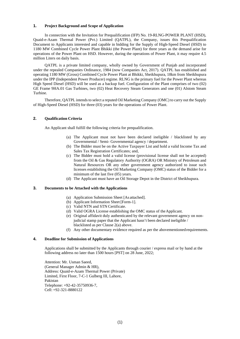#### **1. Project Background and Scope of Application**

In connection with the Invitation for Prequalification (IFP) No. 19-RLNG-POWER PLANT (HSD), Quaid-e-Azam Thermal Power (Pvt.) Limited (QATPL), the Company, issues this Prequalification Document to Applicants interested and capable in bidding for the Supply of High-Speed Diesel (HSD) to 1180 MW Combined Cycle Power Plant Bhikki (the Power Plant) for three years as the demand arise for operations of the Power Plant on HSD. However, during the operations of Power Plant, it may require 4.5 million Liters on daily basis.

QATPL is a private limited company, wholly owned by Government of Punjab and incorporated under the repealed Companies Ordinance, 1984 (now Companies Act, 2017). QATPL has established and operating 1180 MW (Gross) Combined Cycle Power Plant at Bhikki, Sheikhupura, 18km from Sheikhupura under the IPP (Independent Power Producer) regime. RLNG is the primary fuel for the Power Plant whereas High Speed Diesel (HSD) will be used as a backup fuel. Configuration of the Plant comprises of two (02) GE Frame 9HA.01 Gas Turbines, two (02) Heat Recovery Steam Generators and one (01) Alstom Steam Turbine.

Therefore, QATPL intends to select a reputed Oil Marketing Company (OMC) to carry out the Supply of High-Speed Diesel (HSD) for three (03) years for the operations of Power Plant.

#### **2. Qualification Criteria**

An Applicant shall fulfill the following criteria for prequalification.

- (a) The Applicant must not have been declared ineligible / blacklisted by any Governmental / Semi- Governmental agency / department.
- (b) The Bidder must be on the Active Taxpayer List and hold a valid Income Tax and Sales Tax Registration Certificates; and,
- (c) The Bidder must hold a valid license (provisional license shall not be accepted) from the Oil & Gas Regulatory Authority (OGRA) OR Ministry of Petroleum and Natural Resources OR any other government agency authorized to issue such licenses establishing the Oil Marketing Company (OMC) status of the Bidder for a minimum of the last five (05) years.
- (d) The Applicant must have an Oil Storage Depot in the District of Sheikhupura.

#### **3. Documents to be Attached with the Applications**

- (a) Application Submission Sheet [As attached].
- (b) Applicant Information Sheet [Form-1].
- (c) Valid NTN and STN Certificate.
- (d) Valid OGRA License establishing the OMC status of theApplicant.
- (e) Original affidavit duly authenticated by the relevant government agency on nonjudicial stamp paper that the Applicant hasn't been declared ineligible / blacklisted as per Clause 2(a) above.
- (f) Any other documentary evidence required as per the abovementionedrequirements.

#### **4. Deadline for Submission of Applications**

Applications shall be submitted by the Applicants through courier / express mail or by hand at the following address no later than 1500 hours [PST] on 28 June, 2022;

Attention: Mr. Usman Saeed, (General Manager Admin & HR), Address: Quaid-e-Azam Thermal Power (Private) Limited, First Floor, 7-C-1 Gulberg III, Lahore, Pakistan Telephone: +92-42-35750936-7, Cell: +92-321-8880122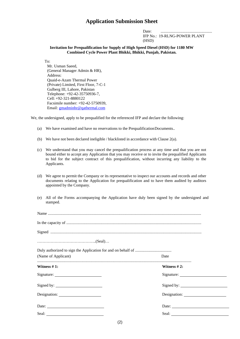### **Application Submission Sheet**

Date: .................................................... IFP No.: 19-RLNG-POWER PLANT (HSD)

**Invitation for Prequalification for Supply of High Speed Diesel (HSD) for 1180 MW Combined Cycle Power Plant Bhikki, Bhikki, Punjab, Pakistan.**

To:

Mr. Usman Saeed, (General Manager Admin & HR), Address: Quaid-e-Azam Thermal Power (Private) Limited, First Floor, 7-C-1 Gulberg III, Lahore, Pakistan Telephone: +92-42-35750936-7, Cell: +92-321-8880122 Facsimile number: +92-42-5750939, Email: [gmadminhr@qathermal.com](mailto:gmadminhr@qathermal.com)

We, the undersigned, apply to be prequalified for the referenced IFP and declare the following:

- (a) We have examined and have no reservations to the PrequalificationDocuments..
- (b) We have not been declared ineligible / blacklisted in accordance with Clause 2(a).
- (c) We understand that you may cancel the prequalification process at any time and that you are not bound either to accept any Application that you may receive or to invite the prequalified Applicants to bid for the subject contract of this prequalification, without incurring any liability to the Applicants.
- (d) We agree to permit the Company or its representative to inspect our accounts and records and other documents relating to the Application for prequalification and to have them audited by auditors appointed by the Company.
- (e) All of the Forms accompanying the Application have duly been signed by the undersigned and stamped.

| (Name of Applicant) | Date           |
|---------------------|----------------|
| Witness $#1$ :      | Witness $#2$ : |
|                     |                |
|                     |                |
|                     |                |
| Date:               | Date:          |
|                     |                |